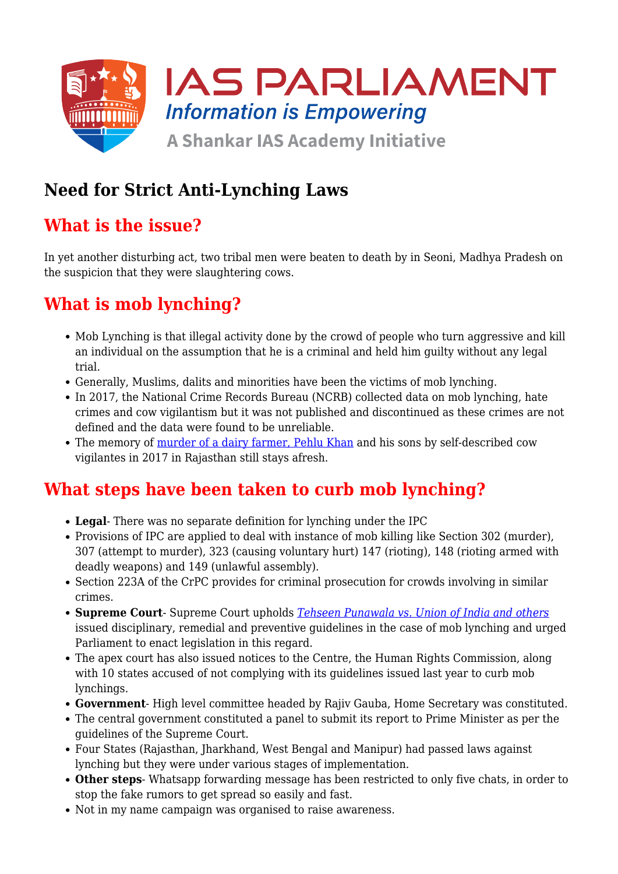

## **Need for Strict Anti-Lynching Laws**

## **What is the issue?**

In yet another disturbing act, two tribal men were beaten to death by in Seoni, Madhya Pradesh on the suspicion that they were slaughtering cows.

## **What is mob lynching?**

- Mob Lynching is that illegal activity done by the crowd of people who turn aggressive and kill an individual on the assumption that he is a criminal and held him guilty without any legal trial.
- Generally, Muslims, dalits and minorities have been the victims of mob lynching.
- In 2017, the National Crime Records Bureau (NCRB) collected data on mob lynching, hate crimes and cow vigilantism but it was not published and discontinued as these crimes are not defined and the data were found to be unreliable.
- The memory of [murder of a dairy farmer, Pehlu Khan](https://www.iasparliament.com/current-affairs/lynching-investigation-pehlu-khan-case) and his sons by self-described cow vigilantes in 2017 in Rajasthan still stays afresh.

### **What steps have been taken to curb mob lynching?**

- **Legal** There was no separate definition for lynching under the IPC
- Provisions of IPC are applied to deal with instance of mob killing like Section 302 (murder), 307 (attempt to murder), 323 (causing voluntary hurt) 147 (rioting), 148 (rioting armed with deadly weapons) and 149 (unlawful assembly).
- Section 223A of the CrPC provides for criminal prosecution for crowds involving in similar crimes.
- **Supreme Court** Supreme Court upholds *[Tehseen Punawala vs. Union of India and others](https://www.iasparliament.com/current-affairs/gs-ii/judicial-intervention-against-hate-speech)* issued disciplinary, remedial and preventive guidelines in the case of mob lynching and urged Parliament to enact legislation in this regard.
- The apex court has also issued notices to the Centre, the Human Rights Commission, along with 10 states accused of not complying with its guidelines issued last year to curb mob lynchings.
- **Government** High level committee headed by Rajiv Gauba, Home Secretary was constituted.
- The central government constituted a panel to submit its report to Prime Minister as per the guidelines of the Supreme Court.
- Four States (Rajasthan, Jharkhand, West Bengal and Manipur) had passed laws against lynching but they were under various stages of implementation.
- **Other steps** Whatsapp forwarding message has been restricted to only five chats, in order to stop the fake rumors to get spread so easily and fast.
- Not in my name campaign was organised to raise awareness.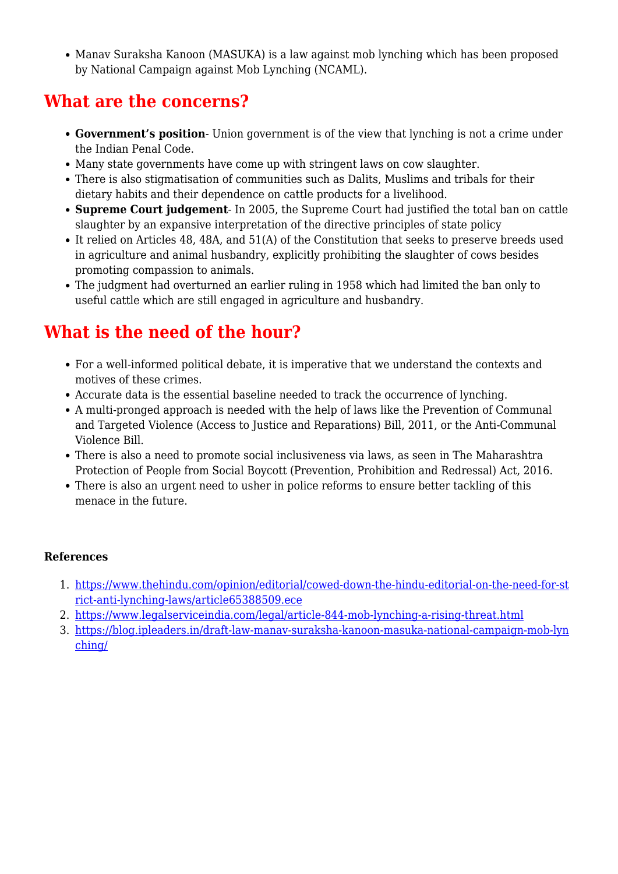• Manay Suraksha Kanoon (MASUKA) is a law against mob lynching which has been proposed by National Campaign against Mob Lynching (NCAML).

## **What are the concerns?**

- **Government's position** Union government is of the view that lynching is not a crime under the Indian Penal Code.
- Many state governments have come up with stringent laws on cow slaughter.
- There is also stigmatisation of communities such as Dalits, Muslims and tribals for their dietary habits and their dependence on cattle products for a livelihood.
- **Supreme Court judgement** In 2005, the Supreme Court had justified the total ban on cattle slaughter by an expansive interpretation of the directive principles of state policy
- It relied on Articles 48, 48A, and 51(A) of the Constitution that seeks to preserve breeds used in agriculture and animal husbandry, explicitly prohibiting the slaughter of cows besides promoting compassion to animals.
- The judgment had overturned an earlier ruling in 1958 which had limited the ban only to useful cattle which are still engaged in agriculture and husbandry.

# **What is the need of the hour?**

- For a well-informed political debate, it is imperative that we understand the contexts and motives of these crimes.
- Accurate data is the essential baseline needed to track the occurrence of lynching.
- A multi-pronged approach is needed with the help of laws like the Prevention of Communal and Targeted Violence (Access to Justice and Reparations) Bill, 2011, or the Anti-Communal Violence Bill.
- There is also a need to promote social inclusiveness via laws, as seen in The Maharashtra Protection of People from Social Boycott (Prevention, Prohibition and Redressal) Act, 2016.
- There is also an urgent need to usher in police reforms to ensure better tackling of this menace in the future.

#### **References**

- 1. [https://www.thehindu.com/opinion/editorial/cowed-down-the-hindu-editorial-on-the-need-for-st](https://www.thehindu.com/opinion/editorial/cowed-down-the-hindu-editorial-on-the-need-for-strict-anti-lynching-laws/article65388509.ece) [rict-anti-lynching-laws/article65388509.ece](https://www.thehindu.com/opinion/editorial/cowed-down-the-hindu-editorial-on-the-need-for-strict-anti-lynching-laws/article65388509.ece)
- 2. <https://www.legalserviceindia.com/legal/article-844-mob-lynching-a-rising-threat.html>
- 3. [https://blog.ipleaders.in/draft-law-manav-suraksha-kanoon-masuka-national-campaign-mob-lyn](https://blog.ipleaders.in/draft-law-manav-suraksha-kanoon-masuka-national-campaign-mob-lynching/) [ching/](https://blog.ipleaders.in/draft-law-manav-suraksha-kanoon-masuka-national-campaign-mob-lynching/)